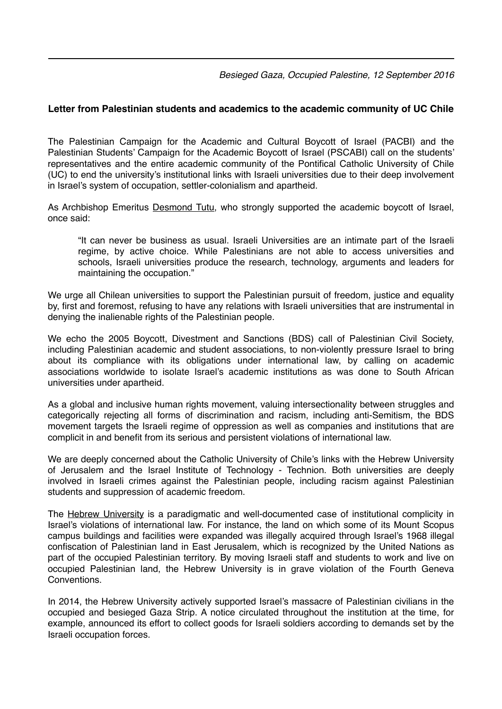*Besieged Gaza, Occupied Palestine, 12 September 2016*

## **Letter from Palestinian students and academics to the academic community of UC Chile**

The Palestinian Campaign for the Academic and Cultural Boycott of Israel (PACBI) and the Palestinian Students' Campaign for the Academic Boycott of Israel (PSCABI) call on the students' representatives and the entire academic community of the Pontifical Catholic University of Chile (UC) to end the university's institutional links with Israeli universities due to their deep involvement in Israel's system of occupation, settler-colonialism and apartheid.

As Archbishop Emeritus [Desmond Tutu](http://goo.gl/xkZmFz), who strongly supported the academic boycott of Israel, once said:

"It can never be business as usual. Israeli Universities are an intimate part of the Israeli regime, by active choice. While Palestinians are not able to access universities and schools, Israeli universities produce the research, technology, arguments and leaders for maintaining the occupation."

We urge all Chilean universities to support the Palestinian pursuit of freedom, justice and equality by, first and foremost, refusing to have any relations with Israeli universities that are instrumental in denying the inalienable rights of the Palestinian people.

We echo the 2005 Boycott, Divestment and Sanctions (BDS) call of Palestinian Civil Society, including Palestinian academic and student associations, to non-violently pressure Israel to bring about its compliance with its obligations under international law, by calling on academic associations worldwide to isolate Israel's academic institutions as was done to South African universities under apartheid.

As a global and inclusive human rights movement, valuing intersectionality between struggles and categorically rejecting all forms of discrimination and racism, including anti-Semitism, the BDS movement targets the Israeli regime of oppression as well as companies and institutions that are complicit in and benefit from its serious and persistent violations of international law.

We are deeply concerned about the Catholic University of Chile's links with the Hebrew University of Jerusalem and the Israel Institute of Technology - Technion. Both universities are deeply involved in Israeli crimes against the Palestinian people, including racism against Palestinian students and suppression of academic freedom.

The [Hebrew University](http://goo.gl/Ood9tj) is a paradigmatic and well-documented case of institutional complicity in Israel's violations of international law. For instance, the land on which some of its Mount Scopus campus buildings and facilities were expanded was illegally acquired through Israel's 1968 illegal confiscation of Palestinian land in East Jerusalem, which is recognized by the United Nations as part of the occupied Palestinian territory. By moving Israeli staff and students to work and live on occupied Palestinian land, the Hebrew University is in grave violation of the Fourth Geneva **Conventions** 

In 2014, the Hebrew University actively supported Israel's massacre of Palestinian civilians in the occupied and besieged Gaza Strip. A notice circulated throughout the institution at the time, for example, announced its effort to collect goods for Israeli soldiers according to demands set by the Israeli occupation forces.